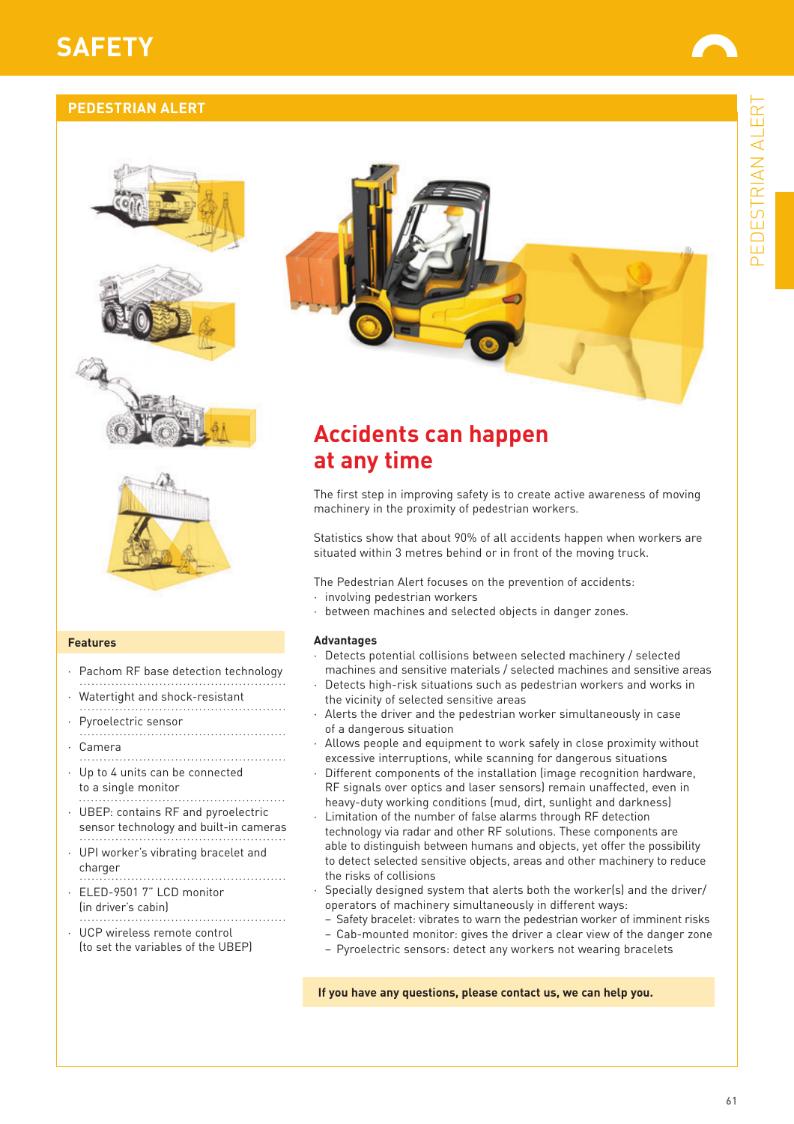# PEDESTRIAN ALERT PEDESTRIAN ALERT

# **SAFETY**

## **PEDESTRIAN ALERT**





#### **Features**

- Pachom RF base detection technology
- Watertight and shock-resistant
- Pyroelectric sensor
- · Camera
- Up to 4 units can be connected to a single monitor
- · UBEP: contains RF and pyroelectric sensor technology and built-in cameras
- · UPI worker's vibrating bracelet and charger
- · ELED-9501 7" LCD monitor (in driver's cabin)
- · UCP wireless remote control (to set the variables of the UBEP)

## **Accidents can happen at any time**

The first step in improving safety is to create active awareness of moving machinery in the proximity of pedestrian workers.

Statistics show that about 90% of all accidents happen when workers are situated within 3 metres behind or in front of the moving truck.

The Pedestrian Alert focuses on the prevention of accidents:

- · involving pedestrian workers
- between machines and selected objects in danger zones.

#### **Advantages**

- · Detects potential collisions between selected machinery / selected machines and sensitive materials / selected machines and sensitive areas
- Detects high-risk situations such as pedestrian workers and works in the vicinity of selected sensitive areas
- Alerts the driver and the pedestrian worker simultaneously in case of a dangerous situation
- Allows people and equipment to work safely in close proximity without excessive interruptions, while scanning for dangerous situations
- Different components of the installation (image recognition hardware, RF signals over optics and laser sensors) remain unaffected, even in heavy-duty working conditions (mud, dirt, sunlight and darkness)
- Limitation of the number of false alarms through RF detection technology via radar and other RF solutions. These components are able to distinguish between humans and objects, yet offer the possibility to detect selected sensitive objects, areas and other machinery to reduce the risks of collisions
- Specially designed system that alerts both the worker(s) and the driver/ operators of machinery simultaneously in different ways:
- Safety bracelet: vibrates to warn the pedestrian worker of imminent risks
- Cab-mounted monitor: gives the driver a clear view of the danger zone
- Pyroelectric sensors: detect any workers not wearing bracelets

**If you have any questions, please contact us, we can help you.**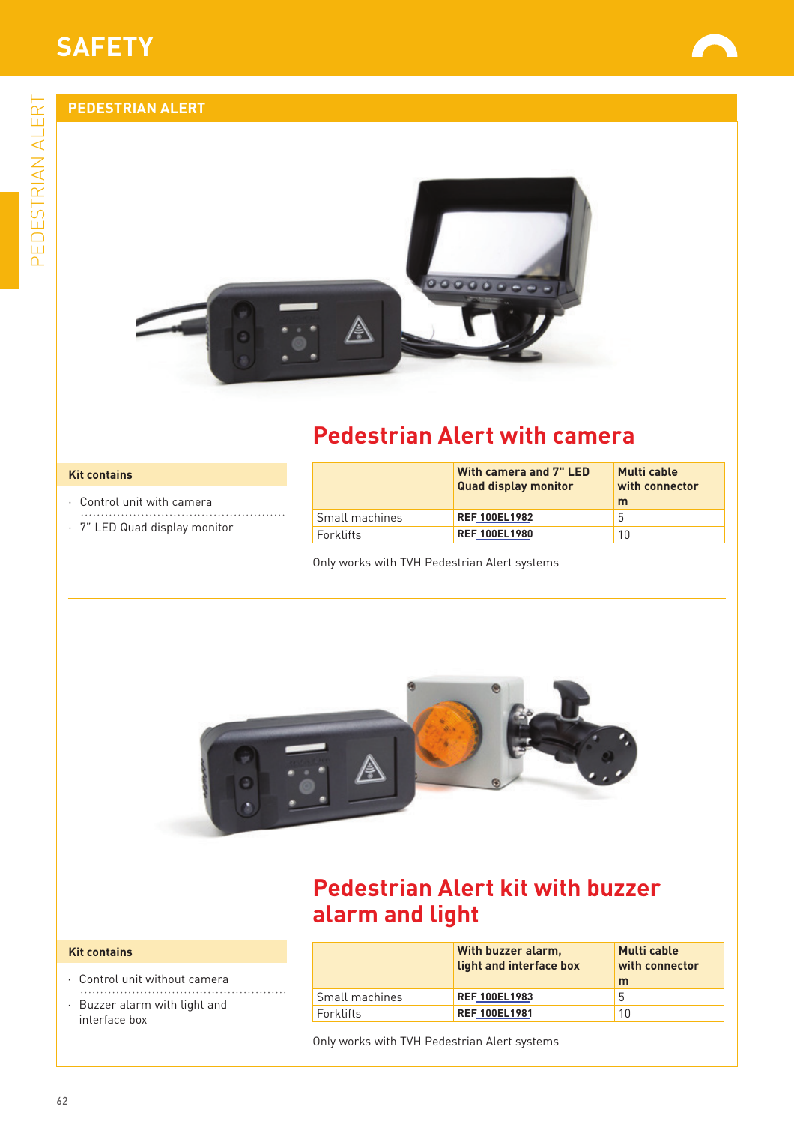PEDESTRIAN ALERT

PEDESTRIAN ALERT

## **PEDESTRIAN ALERT**





# **Pedestrian Alert with camera**

#### **Kit contains**

- · Control unit with camera
- · 7" LED Quad display monitor

|                | With camera and 7" LED<br><b>Quad display monitor</b> | Multi cable<br>with connector<br>m |
|----------------|-------------------------------------------------------|------------------------------------|
| Small machines | <b>REF 100EL1982</b>                                  | 5                                  |
| Forklifts      | <b>REF 100EL1980</b>                                  | 10                                 |

Only works with TVH Pedestrian Alert systems



## **Pedestrian Alert kit with buzzer alarm and light**

#### **Kit contains**

- · Control unit without camera
- · Buzzer alarm with light and interface box

|                | With buzzer alarm.<br>light and interface box | <b>Multi</b> cable<br>with connector<br>m |
|----------------|-----------------------------------------------|-------------------------------------------|
| Small machines | <b>REF 100EL1983</b>                          | $\mathfrak h$                             |
| Forklifts      | <b>REF 100EL1981</b>                          | 10                                        |

Only works with TVH Pedestrian Alert systems